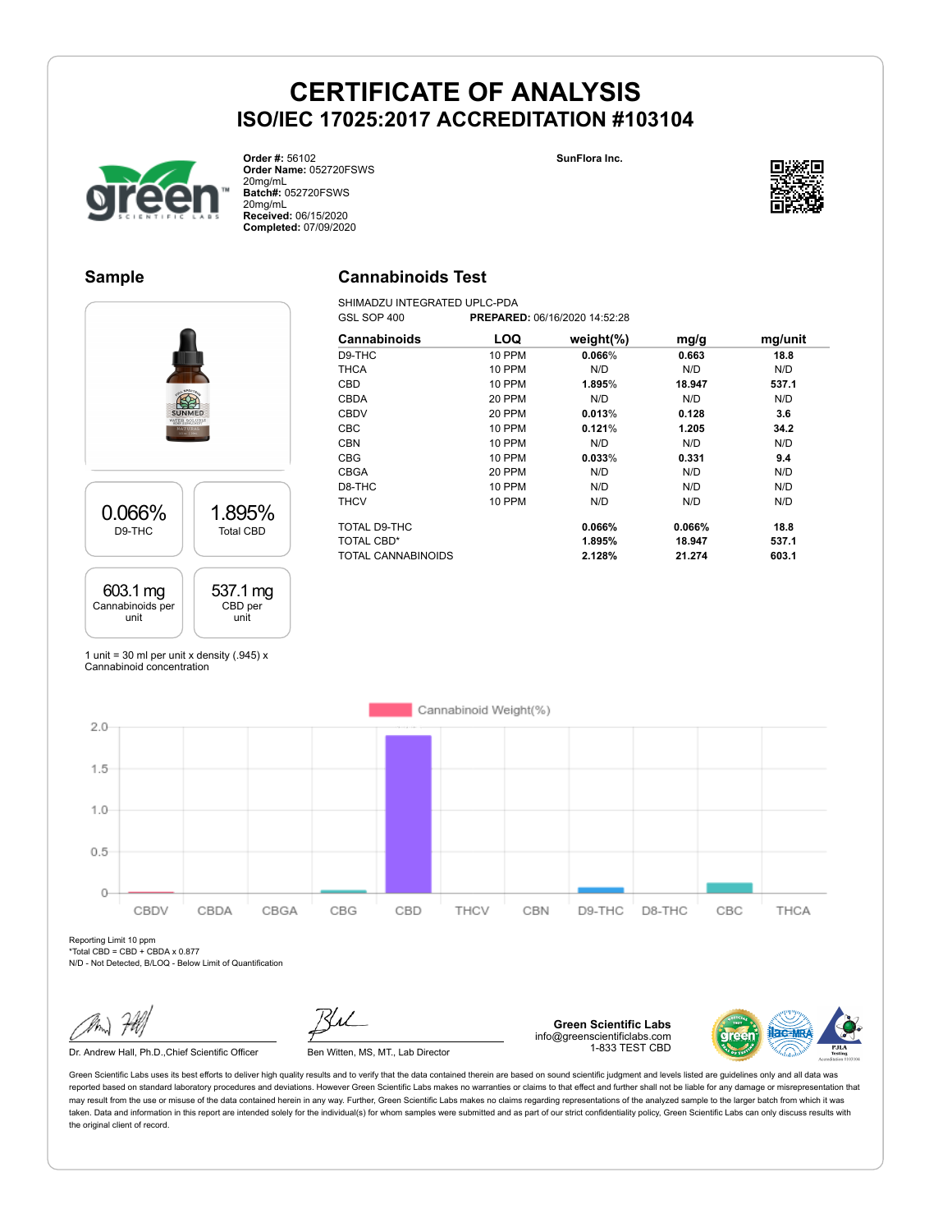**SunFlora Inc.**



**Order #:** 56102 **Order Name:** 052720FSWS 20mg/mL **Batch#:** 052720FSWS 20mg/mL **Received:** 06/15/2020 **Completed:** 07/09/2020

#### **Sample**

### **Cannabinoids Test**

SHIMADZU INTEGRATED UPLC-PDA<br>GSL SOP 400 PREPARE GSL SOP 400 **PREPARED:** 06/16/2020 14:52:28



| Cannabinoids       | LOQ           | weight $(\%)$ | mg/g   | mg/unit |
|--------------------|---------------|---------------|--------|---------|
| D9-THC             | 10 PPM        | 0.066%        | 0.663  | 18.8    |
| <b>THCA</b>        | 10 PPM        | N/D           | N/D    | N/D     |
| <b>CBD</b>         | <b>10 PPM</b> | 1.895%        | 18.947 | 537.1   |
| <b>CBDA</b>        | 20 PPM        | N/D           | N/D    | N/D     |
| <b>CBDV</b>        | 20 PPM        | 0.013%        | 0.128  | 3.6     |
| <b>CBC</b>         | <b>10 PPM</b> | 0.121%        | 1.205  | 34.2    |
| <b>CBN</b>         | <b>10 PPM</b> | N/D           | N/D    | N/D     |
| <b>CBG</b>         | <b>10 PPM</b> | 0.033%        | 0.331  | 9.4     |
| <b>CBGA</b>        | 20 PPM        | N/D           | N/D    | N/D     |
| D8-THC             | <b>10 PPM</b> | N/D           | N/D    | N/D     |
| <b>THCV</b>        | <b>10 PPM</b> | N/D           | N/D    | N/D     |
| TOTAL D9-THC       |               | 0.066%        | 0.066% | 18.8    |
| <b>TOTAL CBD*</b>  |               | 1.895%        | 18.947 | 537.1   |
| TOTAL CANNABINOIDS |               | 2.128%        | 21.274 | 603.1   |

1 unit = 30 ml per unit x density  $(.945)$  x Cannabinoid concentration



Reporting Limit 10 ppm  $*$ Total CBD = CBD + CBDA x 0.877

N/D - Not Detected, B/LOQ - Below Limit of Quantification

Dr. Andrew Hall, Ph.D., Chief Scientific Officer Ben Witten, MS, MT., Lab Director

**Green Scientific Labs** info@greenscientificlabs.com 1-833 TEST CBD



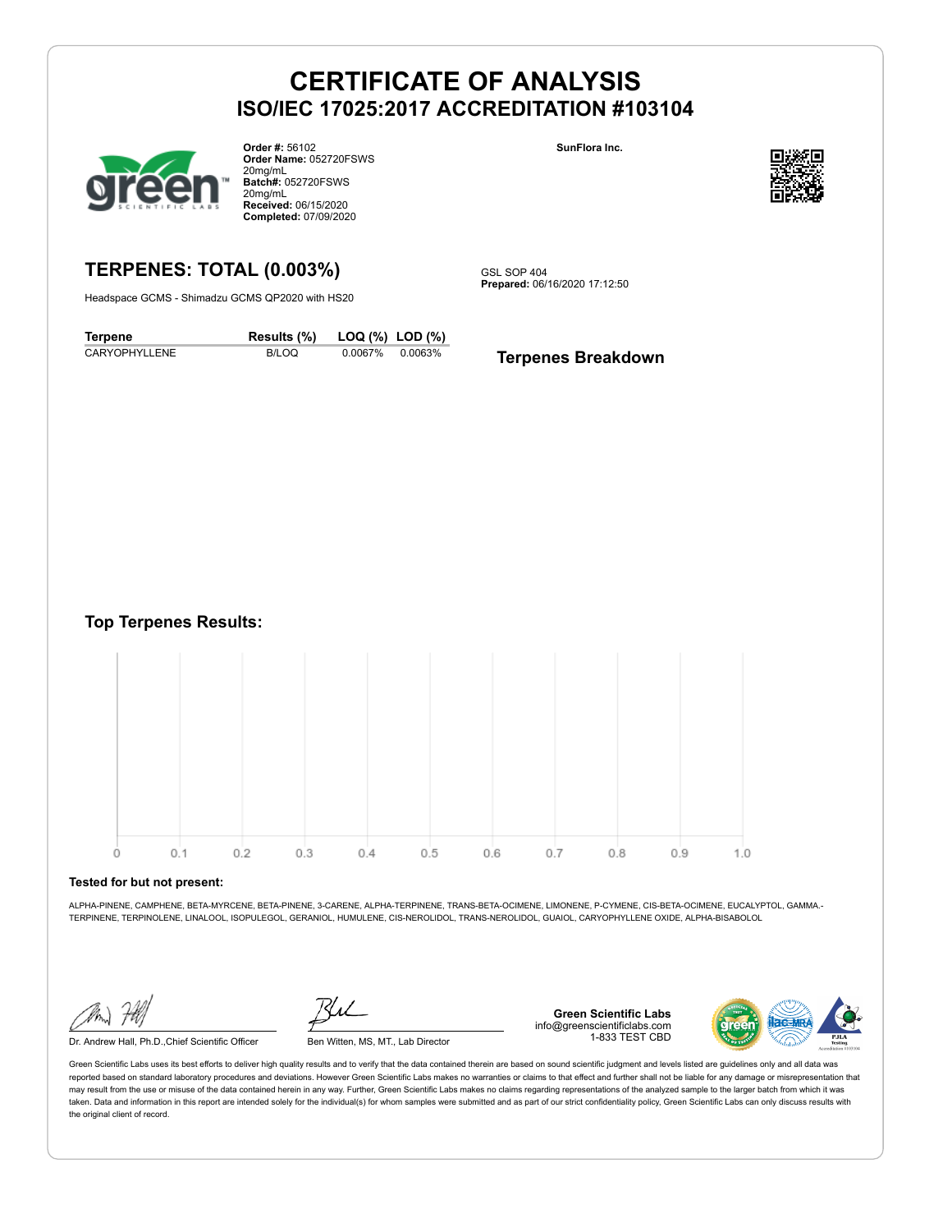

**Order #:** 56102 **Order Name:** 052720FSWS 20mg/mL **Batch#:** 052720FSWS 20mg/mL **Received:** 06/15/2020 **Completed:** 07/09/2020

**SunFlora Inc.**



## **TERPENES: TOTAL (0.003%)**

Headspace GCMS - Shimadzu GCMS QP2020 with HS20

GSL SOP 404 **Prepared:** 06/16/2020 17:12:50

| <b>Terpene</b> | Results (%) | LOQ (%) LOD (%) |         |
|----------------|-------------|-----------------|---------|
| CARYOPHYLLENE  | B/LOQ       | 0.0067%         | 0.0063% |

**Terpenes Breakdown** 

#### **Top Terpenes Results:**



#### **Tested for but not present:**

ALPHA-PINENE, CAMPHENE, BETA-MYRCENE, BETA-PINENE, 3-CARENE, ALPHA-TERPINENE, TRANS-BETA-OCIMENE, LIMONENE, P-CYMENE, CIS-BETA-OCIMENE, EUCALYPTOL, GAMMA.- TERPINENE, TERPINOLENE, LINALOOL, ISOPULEGOL, GERANIOL, HUMULENE, CIS-NEROLIDOL, TRANS-NEROLIDOL, GUAIOL, CARYOPHYLLENE OXIDE, ALPHA-BISABOLOL

Dr. Andrew Hall, Ph.D.,Chief Scientific Officer Ben Witten, MS, MT., Lab Director

**Green Scientific Labs** info@greenscientificlabs.com 1-833 TEST CBD

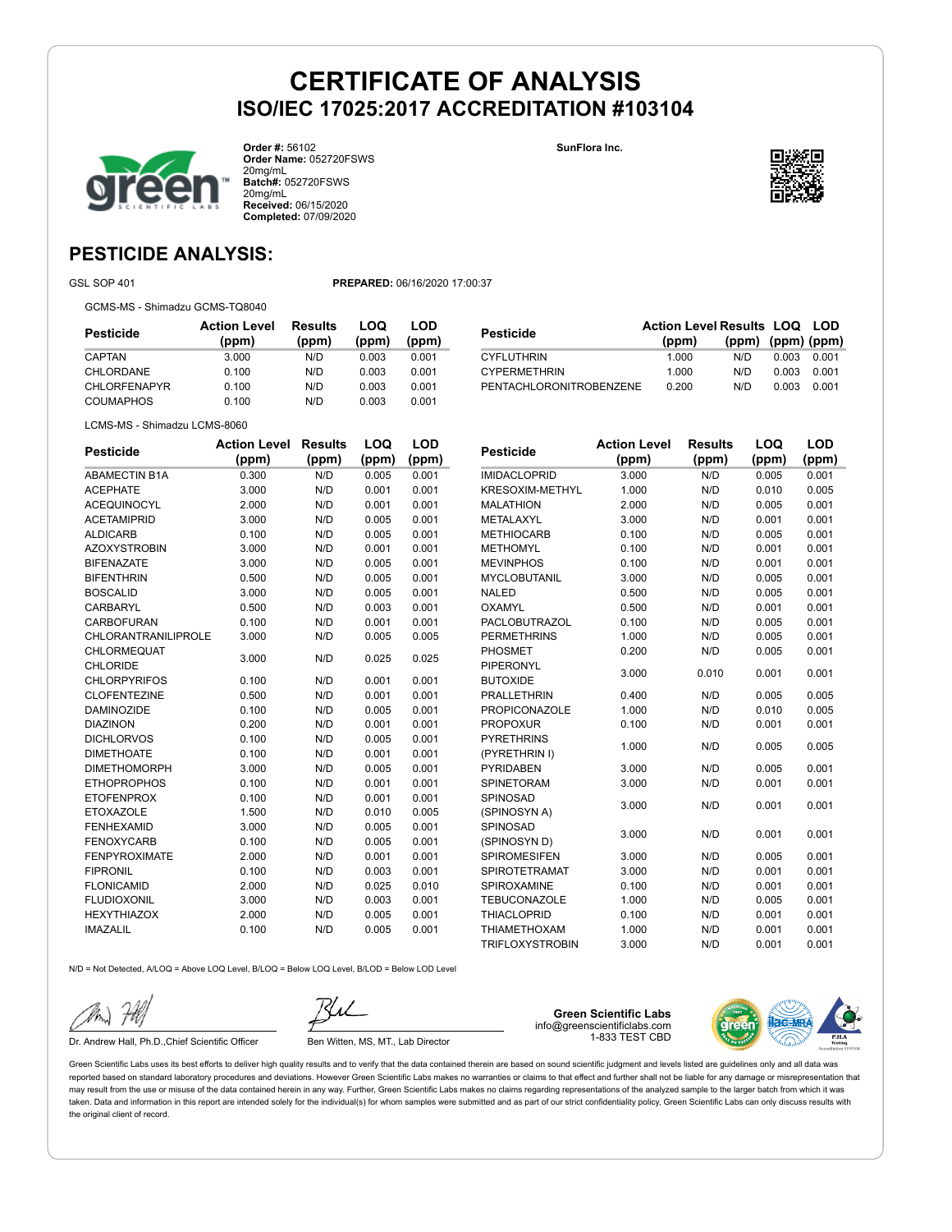**SunFlora Inc.**



**Order #:** 56102 **Order Name:** 052720FSWS 20mg/mL **Batch#:** 052720FSWS 20mg/mL **Received:** 06/15/2020 **Completed:** 07/09/2020



## **PESTICIDE ANALYSIS:**

GSL SOP 401 **PREPARED:** 06/16/2020 17:00:37

GCMS-MS - Shimadzu GCMS-TQ8040

| Pesticide           | <b>Action Level</b><br>(ppm) | <b>Results</b><br>(ppm) | LOQ<br>(ppm) | LOD<br>(ppm) |
|---------------------|------------------------------|-------------------------|--------------|--------------|
| CAPTAN              | 3.000                        | N/D                     | 0.003        | 0.001        |
| <b>CHLORDANE</b>    | 0.100                        | N/D                     | 0.003        | 0.001        |
| <b>CHLORFENAPYR</b> | 0.100                        | N/D                     | 0.003        | 0.001        |
| COUMAPHOS           | 0.100                        | N/D                     | 0.003        | 0.001        |

| Pesticide               | <b>Action Level Results LOQ LOD</b><br>(ppm) | $(ppm)$ $(ppm)$ $(ppm)$ |       |       |
|-------------------------|----------------------------------------------|-------------------------|-------|-------|
| <b>CYFLUTHRIN</b>       | 1.000                                        | N/D.                    | 0.003 | 0.001 |
| <b>CYPERMETHRIN</b>     | 1.000                                        | N/D.                    | 0.003 | 0.001 |
| PENTACHLORONITROBENZENE | 0.200                                        | N/D                     | 0.003 | 0.001 |

LCMS-MS - Shimadzu LCMS-8060

| <b>Pesticide</b>           | <b>Action Level</b> | <b>Results</b> | LOQ   | <b>LOD</b> |
|----------------------------|---------------------|----------------|-------|------------|
|                            | (ppm)               | (ppm)          | (ppm) | (ppm)      |
| <b>ABAMECTIN B1A</b>       | 0.300               | N/D            | 0.005 | 0.001      |
| <b>ACEPHATE</b>            | 3.000               | N/D            | 0.001 | 0.001      |
| <b>ACEQUINOCYL</b>         | 2.000               | N/D            | 0.001 | 0.001      |
| <b>ACETAMIPRID</b>         | 3.000               | N/D            | 0.005 | 0.001      |
| <b>ALDICARB</b>            | 0.100               | N/D            | 0.005 | 0.001      |
| <b>AZOXYSTROBIN</b>        | 3.000               | N/D            | 0.001 | 0.001      |
| <b>BIFENAZATE</b>          | 3.000               | N/D            | 0.005 | 0.001      |
| <b>BIFENTHRIN</b>          | 0.500               | N/D            | 0.005 | 0.001      |
| <b>BOSCALID</b>            | 3.000               | N/D            | 0.005 | 0.001      |
| CARBARYL                   | 0.500               | N/D            | 0.003 | 0.001      |
| <b>CARBOFURAN</b>          | 0.100               | N/D            | 0.001 | 0.001      |
| <b>CHLORANTRANILIPROLE</b> | 3.000               | N/D            | 0.005 | 0.005      |
| <b>CHLORMEQUAT</b>         | 3.000               | N/D            | 0.025 | 0.025      |
| <b>CHLORIDE</b>            |                     |                |       |            |
| <b>CHLORPYRIFOS</b>        | 0.100               | N/D            | 0.001 | 0.001      |
| <b>CLOFENTEZINE</b>        | 0.500               | N/D            | 0.001 | 0.001      |
| <b>DAMINOZIDE</b>          | 0.100               | N/D            | 0.005 | 0.001      |
| <b>DIAZINON</b>            | 0.200               | N/D            | 0.001 | 0.001      |
| <b>DICHLORVOS</b>          | 0.100               | N/D            | 0.005 | 0.001      |
| <b>DIMETHOATE</b>          | 0.100               | N/D            | 0.001 | 0.001      |
| <b>DIMETHOMORPH</b>        | 3.000               | N/D            | 0.005 | 0.001      |
| <b>ETHOPROPHOS</b>         | 0.100               | N/D            | 0.001 | 0.001      |
| <b>ETOFENPROX</b>          | 0.100               | N/D            | 0.001 | 0.001      |
| <b>ETOXAZOLE</b>           | 1.500               | N/D            | 0.010 | 0.005      |
| <b>FENHEXAMID</b>          | 3.000               | N/D            | 0.005 | 0.001      |
| <b>FENOXYCARB</b>          | 0.100               | N/D            | 0.005 | 0.001      |
| <b>FENPYROXIMATE</b>       | 2.000               | N/D            | 0.001 | 0.001      |
| <b>FIPRONIL</b>            | 0.100               | N/D            | 0.003 | 0.001      |
| <b>FLONICAMID</b>          | 2.000               | N/D            | 0.025 | 0.010      |
| <b>FLUDIOXONIL</b>         | 3.000               | N/D            | 0.003 | 0.001      |
| <b>HEXYTHIAZOX</b>         | 2.000               | N/D            | 0.005 | 0.001      |
| <b>IMAZALIL</b>            | 0.100               | N/D            | 0.005 | 0.001      |

| Pesticide                           | <b>Action Level</b> | <b>Results</b> | LOQ   | <b>LOD</b> |
|-------------------------------------|---------------------|----------------|-------|------------|
|                                     | (ppm)               | (ppm)          | (ppm) | (ppm)      |
| <b>IMIDACLOPRID</b>                 | 3.000               | N/D            | 0.005 | 0.001      |
| <b>KRESOXIM-METHYL</b>              | 1.000               | N/D            | 0.010 | 0.005      |
| <b>MALATHION</b>                    | 2.000               | N/D            | 0.005 | 0.001      |
| METALAXYL                           | 3.000               | N/D            | 0.001 | 0.001      |
| <b>METHIOCARB</b>                   | 0.100               | N/D            | 0.005 | 0.001      |
| <b>METHOMYL</b>                     | 0.100               | N/D            | 0.001 | 0.001      |
| <b>MEVINPHOS</b>                    | 0.100               | N/D            | 0.001 | 0.001      |
| <b>MYCLOBUTANIL</b>                 | 3.000               | N/D            | 0.005 | 0.001      |
| <b>NALED</b>                        | 0.500               | N/D            | 0.005 | 0.001      |
| <b>OXAMYL</b>                       | 0.500               | N/D            | 0.001 | 0.001      |
| <b>PACLOBUTRAZOL</b>                | 0.100               | N/D            | 0.005 | 0.001      |
| <b>PERMETHRINS</b>                  | 1.000               | N/D            | 0.005 | 0.001      |
| <b>PHOSMET</b>                      | 0.200               | N/D            | 0.005 | 0.001      |
| <b>PIPERONYL</b><br><b>BUTOXIDE</b> | 3.000               | 0.010          | 0.001 | 0.001      |
| <b>PRALLETHRIN</b>                  | 0.400               | N/D            | 0.005 | 0.005      |
| <b>PROPICONAZOLE</b>                | 1.000               | N/D            | 0.010 | 0.005      |
| <b>PROPOXUR</b>                     | 0.100               | N/D            | 0.001 | 0.001      |
| <b>PYRETHRINS</b>                   |                     |                |       |            |
| (PYRETHRIN I)                       | 1.000               | N/D            | 0.005 | 0.005      |
| <b>PYRIDABEN</b>                    | 3.000               | N/D            | 0.005 | 0.001      |
| <b>SPINETORAM</b>                   | 3.000               | N/D            | 0.001 | 0.001      |
| SPINOSAD                            | 3.000               | N/D            | 0.001 | 0.001      |
| (SPINOSYN A)                        |                     |                |       |            |
| SPINOSAD                            | 3.000               | N/D            | 0.001 | 0.001      |
| (SPINOSYN D)                        |                     |                |       |            |
| <b>SPIROMESIFEN</b>                 | 3.000               | N/D            | 0.005 | 0.001      |
| <b>SPIROTETRAMAT</b>                | 3.000               | N/D            | 0.001 | 0.001      |
| SPIROXAMINE                         | 0.100               | N/D            | 0.001 | 0.001      |
| <b>TEBUCONAZOLE</b>                 | 1.000               | N/D            | 0.005 | 0.001      |
| <b>THIACLOPRID</b>                  | 0.100               | N/D            | 0.001 | 0.001      |
| THIAMETHOXAM                        | 1.000               | N/D            | 0.001 | 0.001      |
| <b>TRIFLOXYSTROBIN</b>              | 3.000               | N/D            | 0.001 | 0.001      |

N/D = Not Detected, A/LOQ = Above LOQ Level, B/LOQ = Below LOQ Level, B/LOD = Below LOD Level

Dr. Andrew Hall, Ph.D., Chief Scientific Officer Ben Witten, MS, MT., Lab Director

**Green Scientific Labs** info@greenscientificlabs.com 1-833 TEST CBD

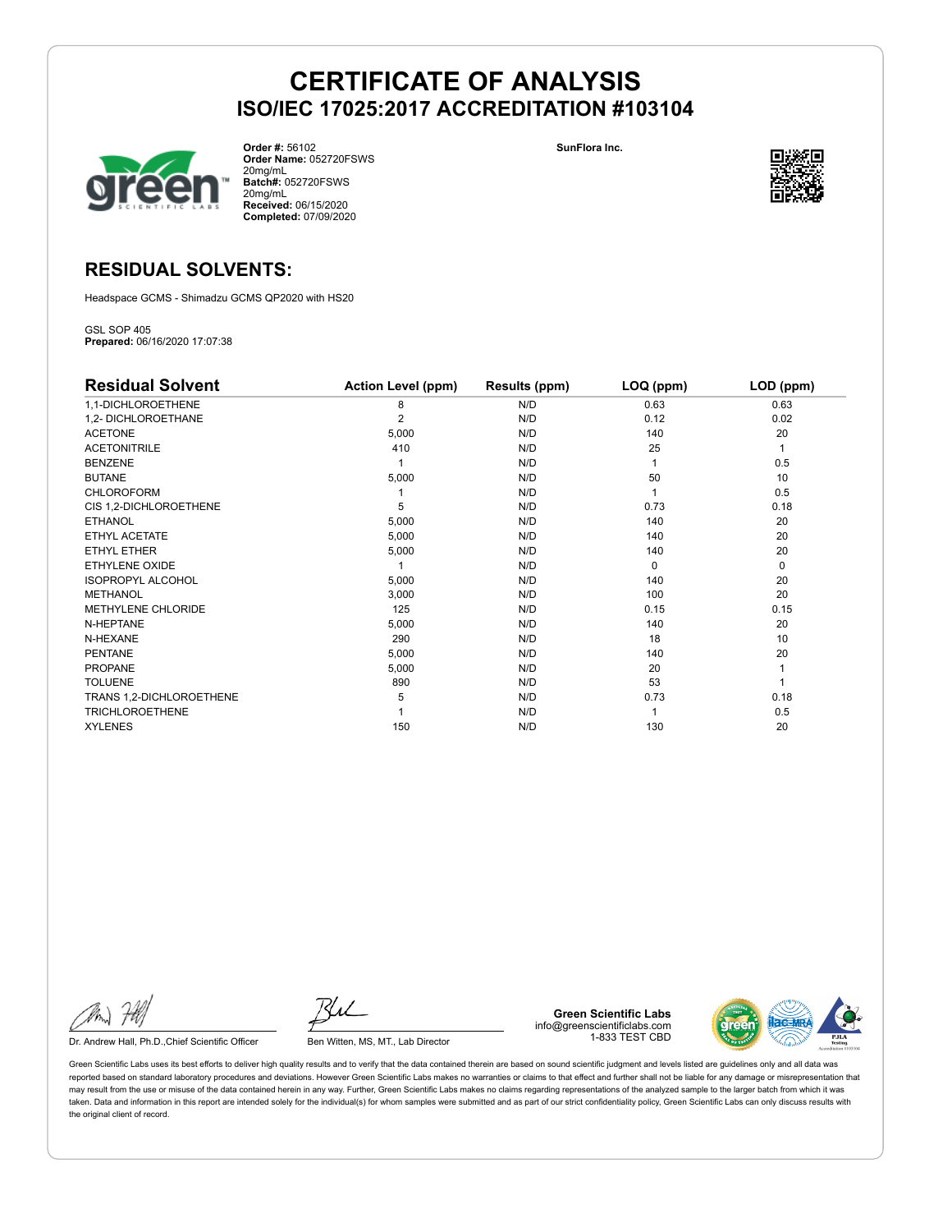

**Order #:** 56102 **Order Name:** 052720FSWS 20mg/mL **Batch#:** 052720FSWS 20mg/mL **Received:** 06/15/2020 **Completed:** 07/09/2020

**SunFlora Inc.**



## **RESIDUAL SOLVENTS:**

Headspace GCMS - Shimadzu GCMS QP2020 with HS20

GSL SOP 405 **Prepared:** 06/16/2020 17:07:38

| <b>Residual Solvent</b>   | <b>Action Level (ppm)</b> | Results (ppm) | LOQ (ppm) | LOD (ppm)   |
|---------------------------|---------------------------|---------------|-----------|-------------|
| 1,1-DICHLOROETHENE        | 8                         | N/D           | 0.63      | 0.63        |
| 1,2- DICHLOROETHANE       | $\overline{2}$            | N/D           | 0.12      | 0.02        |
| <b>ACETONE</b>            | 5,000                     | N/D           | 140       | 20          |
| <b>ACETONITRILE</b>       | 410                       | N/D           | 25        | 1           |
| <b>BENZENE</b>            |                           | N/D           |           | 0.5         |
| <b>BUTANE</b>             | 5,000                     | N/D           | 50        | 10          |
| <b>CHLOROFORM</b>         |                           | N/D           |           | 0.5         |
| CIS 1,2-DICHLOROETHENE    | 5                         | N/D           | 0.73      | 0.18        |
| <b>ETHANOL</b>            | 5,000                     | N/D           | 140       | 20          |
| ETHYL ACETATE             | 5,000                     | N/D           | 140       | 20          |
| <b>ETHYL ETHER</b>        | 5,000                     | N/D           | 140       | 20          |
| ETHYLENE OXIDE            |                           | N/D           | $\Omega$  | $\mathbf 0$ |
| <b>ISOPROPYL ALCOHOL</b>  | 5,000                     | N/D           | 140       | 20          |
| <b>METHANOL</b>           | 3,000                     | N/D           | 100       | 20          |
| <b>METHYLENE CHLORIDE</b> | 125                       | N/D           | 0.15      | 0.15        |
| N-HEPTANE                 | 5,000                     | N/D           | 140       | 20          |
| N-HEXANE                  | 290                       | N/D           | 18        | 10          |
| <b>PENTANE</b>            | 5,000                     | N/D           | 140       | 20          |
| <b>PROPANE</b>            | 5,000                     | N/D           | 20        |             |
| <b>TOLUENE</b>            | 890                       | N/D           | 53        |             |
| TRANS 1,2-DICHLOROETHENE  | 5                         | N/D           | 0.73      | 0.18        |
| <b>TRICHLOROETHENE</b>    |                           | N/D           |           | 0.5         |
| <b>XYLENES</b>            | 150                       | N/D           | 130       | 20          |

Dr. Andrew Hall, Ph.D., Chief Scientific Officer Ben Witten, MS, MT., Lab Director

**Green Scientific Labs** info@greenscientificlabs.com 1-833 TEST CBD

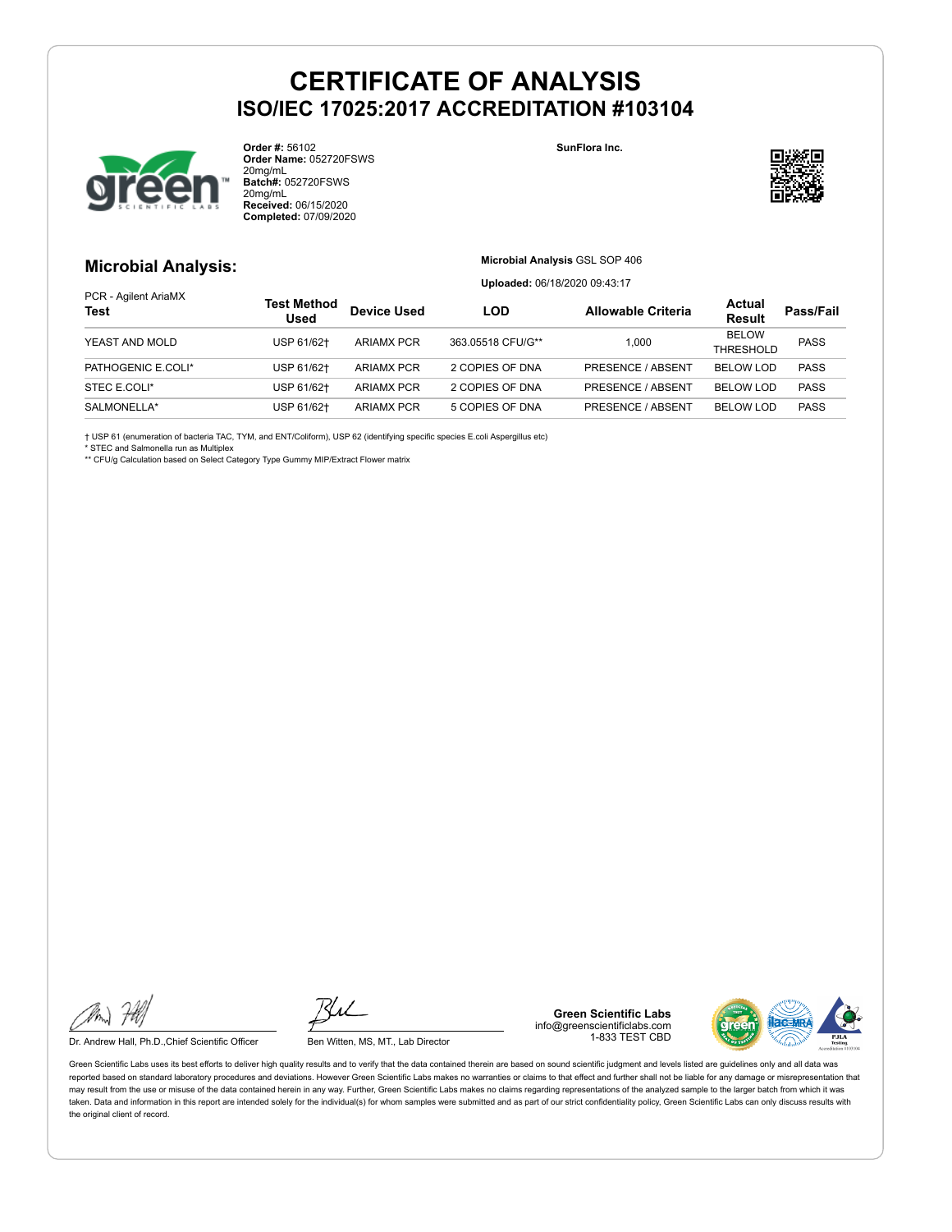

**Order #:** 56102 **Order Name:** 052720FSWS 20mg/mL **Batch#:** 052720FSWS 20mg/mL **Received:** 06/15/2020 **Completed:** 07/09/2020

**SunFlora Inc.**



#### **Microbial Analysis:**

**Microbial Analysis** GSL SOP 406

**Uploaded:** 06/18/2020 09:43:17

| PCR - Agilent AriaMX<br><b>Test</b> | Test Method<br>Used | <b>Device Used</b> | LOD               | <b>Allowable Criteria</b> | Actual<br><b>Result</b> | Pass/Fail   |
|-------------------------------------|---------------------|--------------------|-------------------|---------------------------|-------------------------|-------------|
| YEAST AND MOLD                      | USP 61/62+          | <b>ARIAMX PCR</b>  | 363.05518 CFU/G** | 1.000                     | <b>BELOW</b>            | <b>PASS</b> |
|                                     |                     |                    |                   | THRESHOLD                 |                         |             |
| PATHOGENIC E.COLI*                  | USP 61/62+          | <b>ARIAMX PCR</b>  | 2 COPIES OF DNA   | PRESENCE / ABSENT         | <b>BELOW LOD</b>        | <b>PASS</b> |
| STEC E.COLI*                        | USP 61/62+          | <b>ARIAMX PCR</b>  | 2 COPIES OF DNA   | PRESENCE / ABSENT         | <b>BELOW LOD</b>        | <b>PASS</b> |
| SALMONELLA*                         | USP 61/62+          | <b>ARIAMX PCR</b>  | 5 COPIES OF DNA   | <b>PRESENCE / ABSENT</b>  | <b>BELOW LOD</b>        | <b>PASS</b> |

† USP 61 (enumeration of bacteria TAC, TYM, and ENT/Coliform), USP 62 (identifying specific species E.coli Aspergillus etc)

\* STEC and Salmonella run as Multiplex

\*\* CFU/g Calculation based on Select Category Type Gummy MIP/Extract Flower matrix

Dr. Andrew Hall, Ph.D., Chief Scientific Officer Ben Witten, MS, MT., Lab Director

**Green Scientific Labs** info@greenscientificlabs.com 1-833 TEST CBD